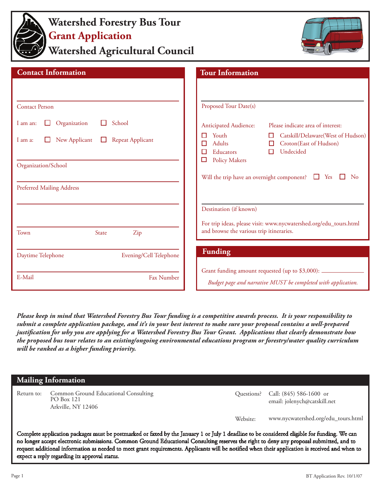

# **Watershed Forestry Bus Tour Grant Application**

**Watershed Agricultural Council**



| <b>Contact Information</b>                                    | <b>Tour Information</b>                                                                                                                       |  |
|---------------------------------------------------------------|-----------------------------------------------------------------------------------------------------------------------------------------------|--|
| <b>Contact Person</b>                                         | Proposed Tour Date(s)                                                                                                                         |  |
| School<br>Organization<br>I am an:<br>ΙI                      | <b>Anticipated Audience:</b><br>Please indicate area of interest:                                                                             |  |
| New Applicant<br><b>Repeat Applicant</b><br>$\Box$<br>I am a: | Youth<br>Catskill/Delaware(West of Hudson)<br>$\Box$<br>□<br>Croton(East of Hudson)<br><b>Adults</b><br>П<br>Undecided<br>Educators<br>□<br>п |  |
| Organization/School                                           | □<br><b>Policy Makers</b><br>Will the trip have an overnight component? $\Box$ Yes<br>No                                                      |  |
| <b>Preferred Mailing Address</b>                              |                                                                                                                                               |  |
|                                                               | Destination (if known)                                                                                                                        |  |
| State<br>Zip<br>Town                                          | For trip ideas, please visit: www.nycwatershed.org/edu_tours.html<br>and browse the various trip itineraries.                                 |  |
| Evening/Cell Telephone<br>Daytime Telephone                   | <b>Funding</b>                                                                                                                                |  |
| Fax Number<br>E-Mail                                          | Grant funding amount requested (up to \$3,000): ____<br>Budget page and narrative MUST be completed with application.                         |  |

*Please keep in mind that Watershed Forestry Bus Tour funding is a competitive awards process. It is your responsibility to submit a complete application package, and it's in your best interest to make sure your proposal contains a well-prepared justification for why you are applying for a Watershed Forestry Bus Tour Grant. Applications that clearly demonstrate how the proposed bus tour relates to an existing/ongoing environmental educations program or forestry/water quality curriculum will be ranked as a higher funding priority.*

### **Mailing Information**

Common Ground Educational Consulting Return to: Questions? Call: (845) 586-1600 or PO Box 121 Arkville, NY 12406

email: jolenych@catskill.net

Website: www.nycwatershed.org/edu\_tours.html

Complete application packages must be postmarked or faxed by the January 1 or July 1 deadline to be considered eligible for funding. We can no longer accept electronic submissions. Common Ground Educational Consulting reserves the right to deny any proposal submitted, and to request additional information as needed to meet grant requirements. Applicants will be notified when their application is received and when to expect a reply regarding its approval status.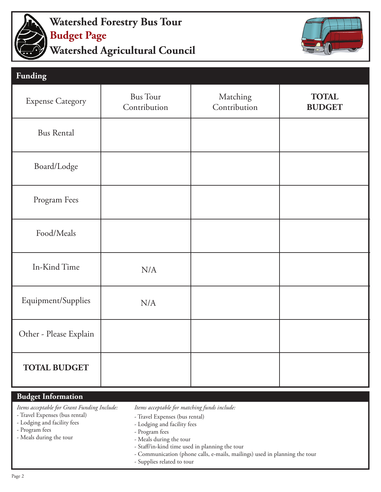

## **Watershed Agricultural Council Watershed Forestry Bus Tour Budget Page**



| <b>Funding</b>          |                                 |                          |                               |
|-------------------------|---------------------------------|--------------------------|-------------------------------|
| <b>Expense Category</b> | <b>Bus Tour</b><br>Contribution | Matching<br>Contribution | <b>TOTAL</b><br><b>BUDGET</b> |
| <b>Bus Rental</b>       |                                 |                          |                               |
| Board/Lodge             |                                 |                          |                               |
| Program Fees            |                                 |                          |                               |
| Food/Meals              |                                 |                          |                               |
| In-Kind Time            | N/A                             |                          |                               |
| Equipment/Supplies      | N/A                             |                          |                               |
| Other - Please Explain  |                                 |                          |                               |
| <b>TOTAL BUDGET</b>     |                                 |                          |                               |

### **Budget Information**

*Items acceptable for Grant Funding Include:*

- Travel Expenses (bus rental)

- Lodging and facility fees
- Program fees
- Meals during the tour
- *Items acceptable for matching funds include:* 
	- Travel Expenses (bus rental)
	- Lodging and facility fees
	- Program fees
	- Meals during the tour
	- Staff/in-kind time used in planning the tour
	- Communication (phone calls, e-mails, mailings) used in planning the tour
	- Supplies related to tour